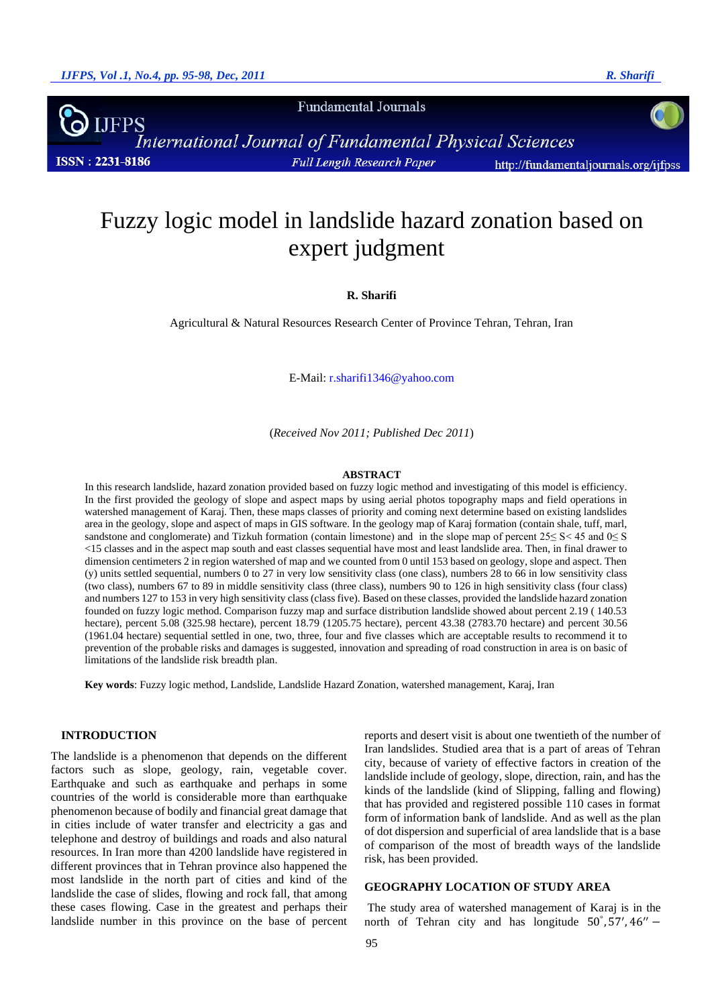**Fundamental Journals** 

**IJFPS International Journal of Fundamental Physical Sciences ISSN: 2231-8186** Full Length Research Paper http://fundamentaljournals.org/ijfpss

# Fuzzy logic model in landslide hazard zonation based on expert judgment

**R. Sharifi**

Agricultural & Natural Resources Research Center of Province Tehran, Tehran, Iran

E-Mail: r.sharifi1346@yahoo.com

(*Received Nov 2011; Published Dec 2011*)

#### **ABSTRACT**

In this research landslide, hazard zonation provided based on fuzzy logic method and investigating of this model is efficiency. In the first provided the geology of slope and aspect maps by using aerial photos topography maps and field operations in watershed management of Karaj. Then, these maps classes of priority and coming next determine based on existing landslides area in the geology, slope and aspect of maps in GIS software. In the geology map of Karaj formation (contain shale, tuff, marl, sandstone and conglomerate) and Tizkuh formation (contain limestone) and in the slope map of percent  $25 \le S < 45$  and  $0 \le S$ <15 classes and in the aspect map south and east classes sequential have most and least landslide area. Then, in final drawer to dimension centimeters 2 in region watershed of map and we counted from 0 until 153 based on geology, slope and aspect. Then (y) units settled sequential, numbers 0 to 27 in very low sensitivity class (one class), numbers 28 to 66 in low sensitivity class (two class), numbers 67 to 89 in middle sensitivity class (three class), numbers 90 to 126 in high sensitivity class (four class) and numbers 127 to 153 in very high sensitivity class (class five). Based on these classes, provided the landslide hazard zonation founded on fuzzy logic method. Comparison fuzzy map and surface distribution landslide showed about percent 2.19 ( 140.53 hectare), percent 5.08 (325.98 hectare), percent 18.79 (1205.75 hectare), percent 43.38 (2783.70 hectare) and percent 30.56 (1961.04 hectare) sequential settled in one, two, three, four and five classes which are acceptable results to recommend it to prevention of the probable risks and damages is suggested, innovation and spreading of road construction in area is on basic of limitations of the landslide risk breadth plan.

**Key words**: Fuzzy logic method, Landslide, Landslide Hazard Zonation, watershed management, Karaj, Iran

#### **INTRODUCTION**

The landslide is a phenomenon that depends on the different factors such as slope, geology, rain, vegetable cover. Earthquake and such as earthquake and perhaps in some countries of the world is considerable more than earthquake phenomenon because of bodily and financial great damage that in cities include of water transfer and electricity a gas and telephone and destroy of buildings and roads and also natural resources. In Iran more than 4200 landslide have registered in different provinces that in Tehran province also happened the most landslide in the north part of cities and kind of the landslide the case of slides, flowing and rock fall, that among these cases flowing. Case in the greatest and perhaps their landslide number in this province on the base of percent reports and desert visit is about one twentieth of the number of Iran landslides. Studied area that is a part of areas of Tehran city, because of variety of effective factors in creation of the landslide include of geology, slope, direction, rain, and has the kinds of the landslide (kind of Slipping, falling and flowing) that has provided and registered possible 110 cases in format form of information bank of landslide. And as well as the plan of dot dispersion and superficial of area landslide that is a base of comparison of the most of breadth ways of the landslide risk, has been provided.

#### **GEOGRAPHY LOCATION OF STUDY AREA**

The study area of watershed management of Karaj is in the north of Tehran city and has longitude  $50^{\circ}$ ,  $57'$ ,  $46''$  –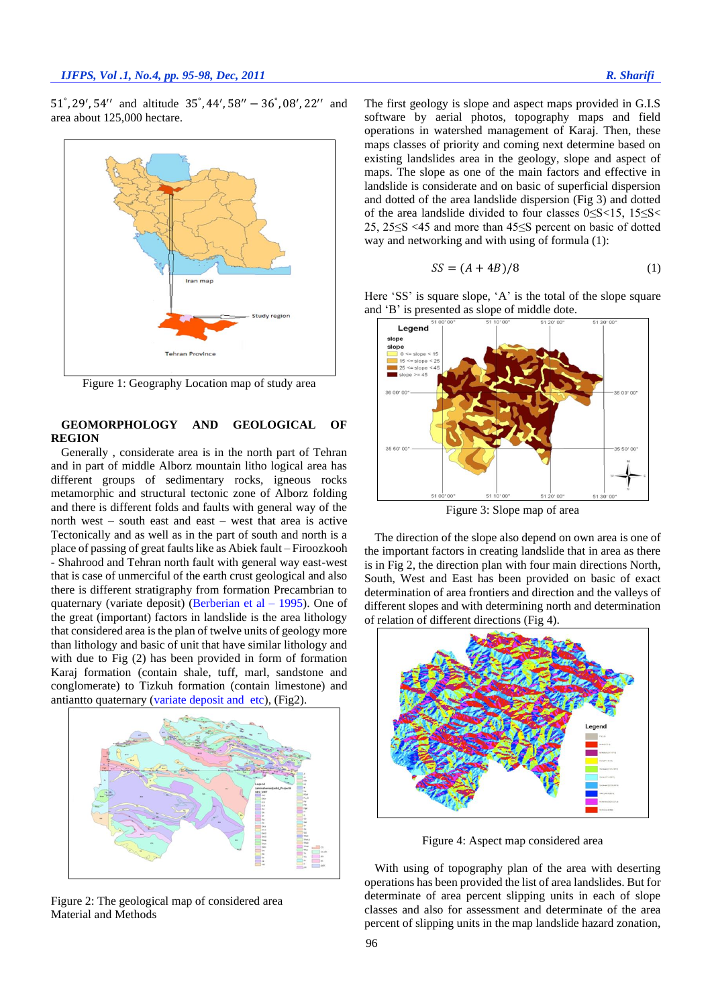51°, 29′, 54″ and altitude  $35^\circ$ , 44′, 58″ – 36°, 08′, 22″ and area about 125,000 hectare.



Figure 1: Geography Location map of study area

# **GEOMORPHOLOGY AND GEOLOGICAL OF REGION**

Generally , considerate area is in the north part of Tehran and in part of middle Alborz mountain litho logical area has different groups of sedimentary rocks, igneous rocks metamorphic and structural tectonic zone of Alborz folding and there is different folds and faults with general way of the north west – south east and east – west that area is active Tectonically and as well as in the part of south and north is a place of passing of great faults like as Abiek fault – Firoozkooh - Shahrood and Tehran north fault with general way east-west that is case of unmerciful of the earth crust geological and also there is different stratigraphy from formation Precambrian to quaternary (variate deposit) (Berberian et al  $-$  1995). One of the great (important) factors in landslide is the area lithology that considered area is the plan of twelve units of geology more than lithology and basic of unit that have similar lithology and with due to Fig (2) has been provided in form of formation Karaj formation (contain shale, tuff, marl, sandstone and conglomerate) to Tizkuh formation (contain limestone) and antiantto quaternary (variate deposit and etc), (Fig2).



Figure 2: The geological map of considered area Material and Methods

The first geology is slope and aspect maps provided in G.I.S software by aerial photos, topography maps and field operations in watershed management of Karaj. Then, these maps classes of priority and coming next determine based on existing landslides area in the geology, slope and aspect of maps. The slope as one of the main factors and effective in landslide is considerate and on basic of superficial dispersion and dotted of the area landslide dispersion (Fig 3) and dotted of the area landslide divided to four classes 0≤S<15, 15≤S< 25, 25≤S <45 and more than 45≤S percent on basic of dotted way and networking and with using of formula (1):

$$
SS = (A + 4B)/8 \tag{1}
$$

Here 'SS' is square slope, 'A' is the total of the slope square and 'B' is presented as slope of middle dote.



Figure 3: Slope map of area

The direction of the slope also depend on own area is one of the important factors in creating landslide that in area as there is in Fig 2, the direction plan with four main directions North, South, West and East has been provided on basic of exact determination of area frontiers and direction and the valleys of different slopes and with determining north and determination of relation of different directions (Fig 4).



Figure 4: Aspect map considered area

With using of topography plan of the area with deserting operations has been provided the list of area landslides. But for determinate of area percent slipping units in each of slope classes and also for assessment and determinate of the area percent of slipping units in the map landslide hazard zonation,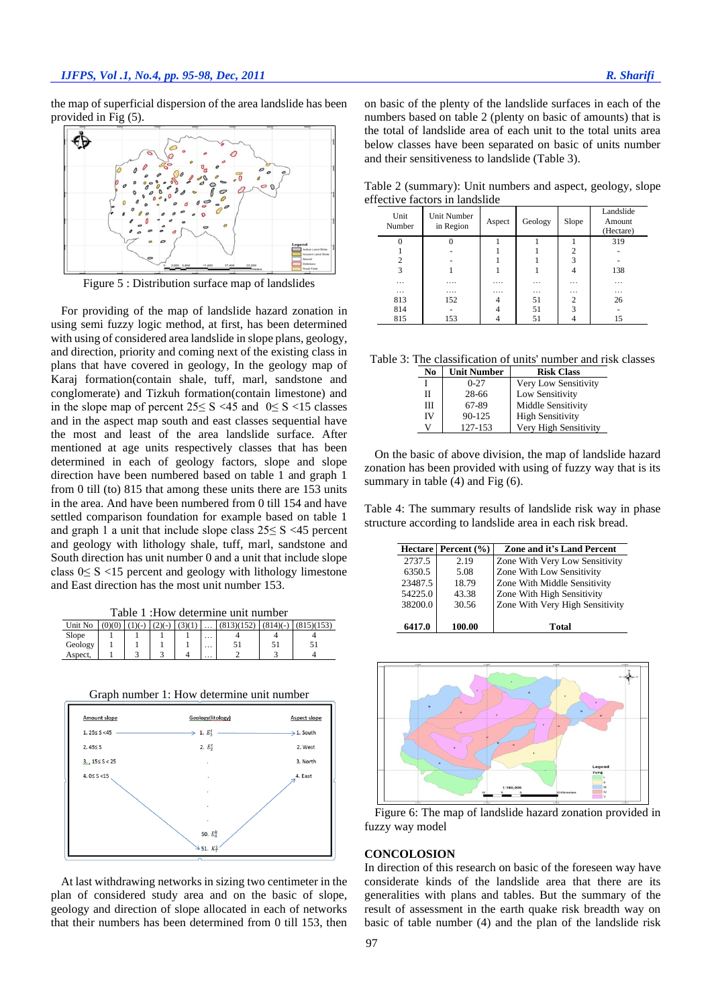the map of superficial dispersion of the area landslide has been provided in Fig (5).



Figure 5 : Distribution surface map of landslides

For providing of the map of landslide hazard zonation in using semi fuzzy logic method, at first, has been determined with using of considered area landslide in slope plans, geology, and direction, priority and coming next of the existing class in plans that have covered in geology, In the geology map of Karaj formation(contain shale, tuff, marl, sandstone and conglomerate) and Tizkuh formation(contain limestone) and in the slope map of percent 25≤ S <45 and 0≤ S <15 classes and in the aspect map south and east classes sequential have the most and least of the area landslide surface. After mentioned at age units respectively classes that has been determined in each of geology factors, slope and slope direction have been numbered based on table 1 and graph 1 from 0 till (to) 815 that among these units there are 153 units in the area. And have been numbered from 0 till 154 and have settled comparison foundation for example based on table 1 and graph 1 a unit that include slope class  $25 \le S \le 45$  percent and geology with lithology shale, tuff, marl, sandstone and South direction has unit number 0 and a unit that include slope class 0≤ S <15 percent and geology with lithology limestone and East direction has the most unit number 153.

Table 1 :How determine unit number

| Unit No | (0)(0) | $(1)(-) (2)(-)$ | (3)(1) | $\cdots$ | (813)(152) | $(814)(-$ | (815)(153) |
|---------|--------|-----------------|--------|----------|------------|-----------|------------|
| Slope   |        |                 |        | $\cdots$ |            |           |            |
| Geology |        |                 |        | $\cdots$ |            | эı        | ◡          |
| Aspect. |        |                 |        | $\cdots$ |            |           |            |





At last withdrawing networks in sizing two centimeter in the plan of considered study area and on the basic of slope, geology and direction of slope allocated in each of networks that their numbers has been determined from 0 till 153, then

on basic of the plenty of the landslide surfaces in each of the numbers based on table 2 (plenty on basic of amounts) that is the total of landslide area of each unit to the total units area below classes have been separated on basic of units number and their sensitiveness to landslide (Table 3).

Table 2 (summary): Unit numbers and aspect, geology, slope effective factors in landslide

| Unit<br>Number | Unit Number<br>in Region | Aspect | Geology  | Slope          | Landslide<br>Amount<br>(Hectare) |
|----------------|--------------------------|--------|----------|----------------|----------------------------------|
|                | 0                        |        |          |                | 319                              |
|                |                          |        |          | $\overline{2}$ |                                  |
| $\overline{c}$ |                          |        |          | 3              |                                  |
| 3              |                          |        |          | 4              | 138                              |
| $\cdots$       |                          |        | $\cdots$ | $\cdots$       | $\cdots$                         |
| $\cdots$       |                          |        | $\cdots$ | $\cdots$       | $\cdots$                         |
| 813            | 152                      | 4      | 51       | 2              | 26                               |
| 814            |                          |        | 51       | 3              |                                  |
| 815            | 153                      |        | 51       | 4              | 15                               |

Table 3: The classification of units' number and risk classes

| No | <b>Unit Number</b> | <b>Risk Class</b>       |
|----|--------------------|-------------------------|
|    | $0 - 27$           | Very Low Sensitivity    |
| Н  | 28-66              | Low Sensitivity         |
| Ш  | 67-89              | Middle Sensitivity      |
| IV | $90 - 125$         | <b>High Sensitivity</b> |
| v  | 127-153            | Very High Sensitivity   |

On the basic of above division, the map of landslide hazard zonation has been provided with using of fuzzy way that is its summary in table (4) and Fig (6).

Table 4: The summary results of landslide risk way in phase structure according to landslide area in each risk bread.

|         | Hectare Percent (%) | <b>Zone and it's Land Percent</b> |
|---------|---------------------|-----------------------------------|
| 2737.5  | 2.19                | Zone With Very Low Sensitivity    |
| 6350.5  | 5.08                | Zone With Low Sensitivity         |
| 23487.5 | 18.79               | Zone With Middle Sensitivity      |
| 54225.0 | 43.38               | Zone With High Sensitivity        |
| 38200.0 | 30.56               | Zone With Very High Sensitivity   |
|         |                     |                                   |
| 6417.0  | 100.00              | Total                             |



Figure 6: The map of landslide hazard zonation provided in fuzzy way model

### **CONCOLOSION**

In direction of this research on basic of the foreseen way have considerate kinds of the landslide area that there are its generalities with plans and tables. But the summary of the result of assessment in the earth quake risk breadth way on basic of table number (4) and the plan of the landslide risk